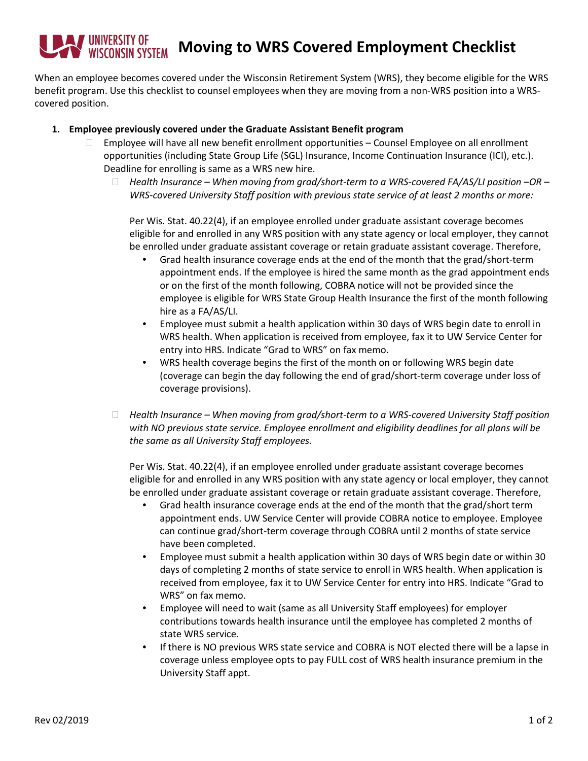## **Moving to WRS Covered Employment Checklist**

When an employee becomes covered under the Wisconsin Retirement System (WRS), they become eligible for the WRS benefit program. Use this checklist to counsel employees when they are moving from a non-WRS position into a WRScovered position.

## **1. Employee previously covered under the Graduate Assistant Benefit program**

- $\Box$  Employee will have all new benefit enrollment opportunities Counsel Employee on all enrollment opportunities (including State Group Life (SGL) Insurance, Income Continuation Insurance (ICI), etc.). Deadline for enrolling is same as a WRS new hire.
	- *Health Insurance – When moving from grad/short-term to a WRS-covered FA/AS/LI position –OR – WRS-covered University Staff position with previous state service of at least 2 months or more:*

Per Wis. Stat. 40.22(4), if an employee enrolled under graduate assistant coverage becomes eligible for and enrolled in any WRS position with any state agency or local employer, they cannot be enrolled under graduate assistant coverage or retain graduate assistant coverage. Therefore,

- Grad health insurance coverage ends at the end of the month that the grad/short-term appointment ends. If the employee is hired the same month as the grad appointment ends or on the first of the month following, COBRA notice will not be provided since the employee is eligible for WRS State Group Health Insurance the first of the month following hire as a FA/AS/LI.
- Employee must submit a health application within 30 days of WRS begin date to enroll in WRS health. When application is received from employee, fax it to UW Service Center for entry into HRS. Indicate "Grad to WRS" on fax memo.
- WRS health coverage begins the first of the month on or following WRS begin date (coverage can begin the day following the end of grad/short-term coverage under loss of coverage provisions).
- *Health Insurance – When moving from grad/short-term to a WRS-covered University Staff position with NO previous state service. Employee enrollment and eligibility deadlines for all plans will be the same as all University Staff employees.*

Per Wis. Stat. 40.22(4), if an employee enrolled under graduate assistant coverage becomes eligible for and enrolled in any WRS position with any state agency or local employer, they cannot be enrolled under graduate assistant coverage or retain graduate assistant coverage. Therefore,

- Grad health insurance coverage ends at the end of the month that the grad/short term appointment ends. UW Service Center will provide COBRA notice to employee. Employee can continue grad/short-term coverage through COBRA until 2 months of state service have been completed.
- Employee must submit a health application within 30 days of WRS begin date or within 30 days of completing 2 months of state service to enroll in WRS health. When application is received from employee, fax it to UW Service Center for entry into HRS. Indicate "Grad to WRS" on fax memo.
- Employee will need to wait (same as all University Staff employees) for employer contributions towards health insurance until the employee has completed 2 months of state WRS service.
- If there is NO previous WRS state service and COBRA is NOT elected there will be a lapse in coverage unless employee opts to pay FULL cost of WRS health insurance premium in the University Staff appt.